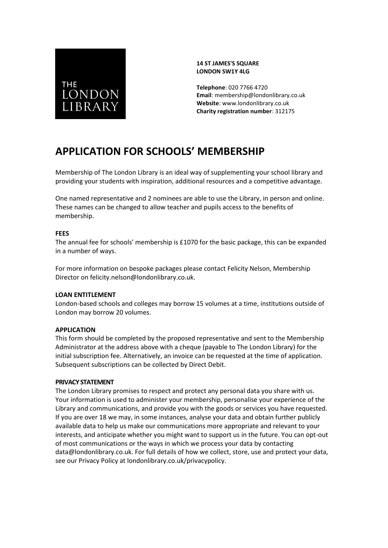# **THE LONDON** LIBRARY

#### **14 ST JAMES'S SQUARE LONDON SW1Y 4LG**

**Telephone**: 020 7766 4720 **Email**: membership@londonlibrary.co.uk **Website**: www.londonlibrary.co.uk **Charity registration number**: 312175

## **APPLICATION FOR SCHOOLS' MEMBERSHIP**

Membership of The London Library is an ideal way of supplementing your school library and providing your students with inspiration, additional resources and a competitive advantage.

One named representative and 2 nominees are able to use the Library, in person and online. These names can be changed to allow teacher and pupils access to the benefits of membership.

#### **FEES**

The annual fee for schools' membership is £1070 for the basic package, this can be expanded in a number of ways.

For more information on bespoke packages please contact Felicity Nelson, Membership Director on felicity.nelson@londonlibrary.co.uk.

#### **LOAN ENTITLEMENT**

London-based schools and colleges may borrow 15 volumes at a time, institutions outside of London may borrow 20 volumes.

#### **APPLICATION**

This form should be completed by the proposed representative and sent to the Membership Administrator at the address above with a cheque (payable to The London Library) for the initial subscription fee. Alternatively, an invoice can be requested at the time of application. Subsequent subscriptions can be collected by Direct Debit.

#### **PRIVACY STATEMENT**

The London Library promises to respect and protect any personal data you share with us. Your information is used to administer your membership, personalise your experience of the Library and communications, and provide you with the goods or services you have requested. If you are over 18 we may, in some instances, analyse your data and obtain further publicly available data to help us make our communications more appropriate and relevant to your interests, and anticipate whether you might want to support us in the future. You can opt-out of most communications or the ways in which we process your data by contacting data@londonlibrary.co.uk. For full details of how we collect, store, use and protect your data, see our Privacy Policy at [londonlibrary.co.uk/privacypolicy.](http://www.londonlibrary.co.uk/privacypolicy)